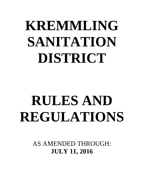# **KREMMLING SANITATION DISTRICT**

# **RULES AND REGULATIONS**

AS AMENDED THROUGH: **JULY 11, 2016**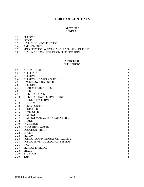# **TABLE OF CONTENTS**

#### **ARTICLE I GENERAL**

| 1.1 | <b>PURPOSE</b>                                |  |
|-----|-----------------------------------------------|--|
| 1.2 | <b>SCOPE</b>                                  |  |
| 1.3 | INTENT OF CONSTRUCTION                        |  |
| 14  | <b>AMENDMENTS</b>                             |  |
| 1.5 | MODIFICATION, WAIVER, AND SUSPENSION OF RULES |  |
| 1.6 | DESIGN AND CONSTRUCTION SPECIFICATIONS        |  |

#### **ARTICLE II DEFINITIONS**

| 2.1  | <b>ACTUAL COST</b>                 | $\sqrt{2}$              |
|------|------------------------------------|-------------------------|
| 2.2  | <b>APPLICANT</b>                   | $\overline{2}$          |
| 2.3  | <b>APPROVED</b>                    | $\overline{c}$          |
| 2.4  | APPROVED TESTING AGENCY            | $\overline{c}$          |
| 2.5  | <b>BACKFLOW PREVENTER</b>          | $\overline{2}$          |
| 2.6  | <b>BLEEDING</b>                    | $\overline{c}$          |
| 2.7  | <b>BOARD OF DIRECTORS</b>          | $\overline{2}$          |
| 2.8  | <b>BOND</b>                        | $\overline{2}$          |
| 2.9  | <b>BUILDING DRAIN</b>              | $\overline{2}$          |
| 2.10 | <b>BUILDING SEWER SERVICE LINE</b> | $\overline{c}$          |
| 2.11 | <b>CONNECTION PERMIT</b>           | $\overline{c}$          |
| 2.12 | <b>CONTRACTOR</b>                  | $\frac{2}{3}$           |
| 2.13 | <b>CROSS CONNECTION</b>            |                         |
| 2.14 | <b>CUSTOMER</b>                    | $\frac{3}{3}$           |
| 2.15 | <b>DEVELOPER</b>                   |                         |
| 2.16 | <b>DISTRICT</b>                    | $\overline{3}$          |
| 2.17 | DISTRICT MANAGER AND/OR CLERK      | $\overline{3}$          |
| 2.18 | <b>GRADE</b>                       | 3                       |
| 2.19 | <b>INSPECTOR</b>                   | $\overline{\mathbf{3}}$ |
| 2.20 | <b>INDUSTRIAL WASTE</b>            | $\overline{3}$          |
| 2.21 | <b>LOCATION RIBBON</b>             | $\overline{3}$          |
| 2.22 | <b>OWNER</b>                       | 3                       |
| 2.23 | <b>PERSON</b>                      | $\overline{3}$          |
| 2.24 | PUBLIC FOOD PREPARATION FACILITY   | $\overline{3}$          |
| 2.25 | PUBLIC SEWER COLLECTION SYSTEM     | $\overline{4}$          |
| 2.26 | <b>PVC</b>                         | $\overline{4}$          |
| 2.27 | <b>SERVICE LATERAL</b>             | $\overline{4}$          |
| 2.28 | <b>SHALL</b>                       | $\overline{4}$          |
| 2.29 | <b>STUB OUT</b>                    | $\overline{4}$          |
| 2.30 | <b>TAP</b>                         | $\overline{4}$          |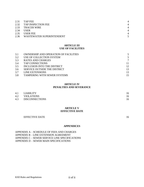|      | 2.31 TAP FEE                   | $\overline{4}$ |
|------|--------------------------------|----------------|
|      | 2.32 TAP INSPECTION FEE        | $\overline{4}$ |
|      | 2.33 TRACER WIRE               | $\overline{4}$ |
| 2.34 | <b>USER</b>                    | $\overline{4}$ |
| 2.35 | <b>USER FEE</b>                | $\overline{4}$ |
|      | 2.36 WASTEWATER SUPERINTENDENT |                |

#### **ARTICLE III USE OF FACILITIES**

| 3.1 | <b>OWNERSHIP AND OPERATION OF FACILITIES</b> |    |
|-----|----------------------------------------------|----|
| 3.2 | USE OF COLLECTION SYSTEM                     | 5  |
| 3.3 | RATES AND CHARGES                            |    |
| 3.4 | <b>TAP CONNECTIONS</b>                       |    |
| 3.5 | INCLUSION INTO THE DISTRICT                  | 12 |
| 3.6 | SERVICE OUTSIDE THE DISTRICT                 | 13 |
| 3.7 | LINE EXTENSIONS                              | 13 |
| 3.8 | TAMPERING WITH SEWER SYSTEMS                 | 15 |

#### **ARTICLE IV PENALTIES AND SEVERANCE**

| 4.1 LIABILITY      | 16 |
|--------------------|----|
| 4.2 VIOLATIONS     | 16 |
| 4.3 DISCONNECTIONS | 16 |

#### **ARTICLE V EFFECTIVE DATE**

**APPENDICES**

#### EFFECTIVE DATE 16

APPENDIX A – SCHEDULE OF FEES AND CHARGES APPENDIX B – LINE EXTENSION AGREEMENT APPENDIX C – SEWER SERVICE LINE SPECIFICATIONS APPENDIX D – SEWER MAIN SPECIFICATIONS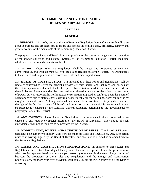# **KREMMLING SANITATION DISTRICT RULES AND REGULATIONS**

# **ARTICLE I**

# **GENERAL**

**1.1 PURPOSE.** It is hereby declared that the Rules and Regulations hereinafter set forth will serve a public purpose and are necessary to insure and protect the health, safety, prosperity, security and general welfare of the inhabitants of the Kremmling Sanitation District.

The purpose of these Rules and Regulations is to provide for the control, management and operation of the sewage collection and disposal systems of the Kremmling Sanitation District, including additions, extensions and connections thereto.

**1.2 SCOPE**. These Rules and Regulations shall be treated and considered as new and comprehensive, and shall supersede all prior Rules and Regulations of the District. The Appendices to these Rules and Regulations are incorporated into and made a part hereof.

**1.3 INTENT OF CONSTRUCTION.** It is intended that these Rules and Regulations shall be liberally construed to effect the general purposes set forth herein, and that each and every part thereof is separate and distinct of all other parts. No omission or additional material set forth in these Rules and Regulations shall be construed as an alteration, waiver, or deviation from any grant of power, duty or responsibility, or limitation or restriction, imposed or conferred upon the Board of Directors by virtue of statutes now existing or subsequently amended, or under any contract or by any governmental entity. Nothing contained herein shall be so construed as to prejudice or affect the right of the District to secure full benefit and protection of any law which is now enacted or may be subsequently enacted by the Colorado General Assembly pertaining to the governmental or propriety affairs of the District.

**1.4 AMENDMENTS.** These Rules and Regulations may be amended, altered, repealed or reenacted at any regular or special meeting of the Board of Directors. Prior notice of such amendments shall not be required to be provided by the District.

1.5 MODIFICATION, WAIVER AND SUSPENSION OF RULES. The Board of Directors shall have sole authority to modify, waive or suspend these Rules and Regulations. Any such action must be in writing, signed by the Board of Directors, and shall not be deemed as an amendment to the Rules and Regulations.

1.6 DESIGN AND CONSTRUCTION SPECIFICATIONS. In addition to these Rules and Regulations, the District has adopted Design and Construction Specifications, the provisions of which are incorporated herein and made a part hereof by reference. In the event of any conflict of between the provisions of these rules and Regulations and the Design and Construction Specifications, the more restrictive provision shall apply unless otherwise approved by the District in writing.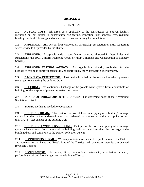# **ARTICLE II**

# **DEFINITIONS**

**2.1 ACTUAL COST.** All direct costs applicable to the construction of a given facility, including, but not limited to, construction, engineering, inspection, plan approval fees, required bonding, "as-built" drawings and other incurred costs necessary for completion.

**2.2 APPLICANT.** Any person, firm, corporation, partnership, association or entity requesting sewer service to be provided by the District.

**2.3 APPROVED.** Acceptable under a specification or standard stated in these Rules and Regulations, the 1991 Uniform Plumbing Code, or MOP-9 (Design and Construction of Sanitary Sewers).

**2.4 APPROVED TESTING AGENCY.** An organization primarily established for the purpose of testing to approved standards, and approved by the Wastewater Superintendent.

2.5 BACKFLOW PROTECTOR. That device installed on the service line which prevents sewerage from entering the building drain.

2.6 BLEEDING. The continuous discharge of the potable water system from a household or building for the purpose of preventing water line freeze.

**2.7 BOARD OF DIRECTORS or THE BOARD.** The governing body of the Kremmling Sanitation District.

2.8 **BOND.** Define as needed for Contractors.

**2.9 BUILDING DRAIN.** That part of the lowest horizontal piping of a building drainage system from the stack or horizontal branch, exclusive of storm sewer, extending to a point not less than five  $(5')$  feet outside of the building wall.

**2.10 BUILDING SEWER SERVICE LINE.** That part of the horizontal piping of a drainage system which extends from the end of the building drain and which receives the discharge of the building drain and conveys it to the District collection system.

**2.11 CONNECTION PERMIT.** Written permission to connect to a public sewer of the District and pursuant to the Rules and Regulations of the District. All connection permits are deemed revocable licenses.

**2.12 CONTRACTOR.** A person, firm, corporation, partnership, association or entity performing work and furnishing materials within the District.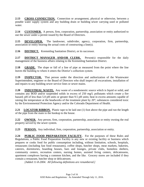**2.13 CROSS CONNECTION.** Connection or arrangement, physical or otherwise, between a potable water supply system and any building drain or building sewer carrying used or polluted water.

**2.14 CUSTOMER.** A person, firm, corporation, partnership, association or entity authorized to use the sewer under a permit issued by the Board of Directors.

**2.15 DEVELOPER.** The landowner, subdivider, agency, corporation, firm, partnership, association or entity bearing the actual costs of constructing a line(s).

**2.16 DISTRICT.** Kremmling Sanitation District, or its successor.

**2.17 DISTRICT MANAGER AND/OR CLERK.** Person(s) responsible for the daily management of the business affairs relating to the Kremmling Sanitation District.

**2.18 GRADE.** The slope or fall of a line of pipe as measured from the point where the line leaves the building to where it enters the District's collection system.

**2.19 INSPECTOR.** That person under the direction and authorization of the Wastewater Superintendent, engineer or the Board of Directors who shall inspect all excavations, installation of and repairs to any building sewer service lines or sewer mains.

**2.20 INDUSTRIAL WASTE.** Any waste of a nondomestic source which is liquid or solid, and contains any BOD and/or suspended solids in excess of 250 mg/l; pollutants which create a fire hazard; pH of less than 5.0 pH units or greater than 9.5 pH units; heat in excess amounts capable of raising the temperature at the headworks of the treatment plant by 20°; substances considered toxic by the Environmental Protection Agency and/or the Colorado Department of Health.

**2.21 LOCATOR RIBBON.** Plastic tape to be laid one (1) foot above the pipe and run the length of the pipe from the main to the hookup to the house.

**2.22 OWNER.** Any person, firm, corporation, partnership, association or entity owning the real property served by the sewer system.

**2.23 PERSON.** Any individual, firm, corporation, partnership, association or entity.

**2.24 PUBLIC FOOD PREPARATION FACILITY.** For the purposes of these Rules and Regulations, a Public Food Preparation Facility is any new or existing facility or business which prepares or cooks food for public consumption including, without limitation, schools, hospitals, restaurants (including fast food restaurants), coffee shops, butcher shops, meat markets, bakeries, caterers, dormitories, boarding houses, bars and lounges, private clubs, homeless shelters, community centers, recreation centers, nursing homes, assisted living centers, delicatessens, apartment complexes having a common kitchen, and the like. Grocery stores are included if they contain a restaurant, butcher shop or delicatessen.

*[Added 11-8-2004. All following definitions are renumbered.]*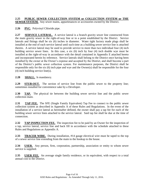# **2.25 PUBLIC SEWER COLLECTION SYSTEM or COLLECTION SYSTEM or THE SEWER SYSTEM.** Any sewer mains, appurtenances or accessories owned by the District.

2.26 **PVC.** Polyvinyl Chloride pipe.

**2.27 SERVICE LATERAL.** A service lateral is a branch gravity sewer line constructed from the main gravity sewer to the right-of-way line or to a point established by the District. Service laterals and fittings shall be six (6) inches in diameter. Water tight factory made plugs shall be installed at the end of each service lateral until such time as a building sewer service line is attached thereto. A service lateral may be used to provide service to more than two individual four (4) inch building service sewer lines. In this case, a six (6) inch by four (4) inch double wye must be installed at the right-of-way in accordance with the detail contained in Appendix E attached hereto and incorporated herein by reference. Service laterals shall belong to the District once having been installed by the owner at the Owner's expense and accepted by the District, and shall become a part of the District's public sewer collection system. For maintenance purposes, the District shall be responsible only for the six (6) inch pipe and wye and the Owner(s) shall be responsible for the four (4) inch building service line(s).

**2.28 SHALL.** Is mandatory.

**2.29 STUB-OUT.** The section of service line from the public sewer to the property line; sometimes installed for convenience sake by a Developer.

**2.30 TAP.** The physical tie between the building sewer service line and the public sewer collection main.

**2.31 TAP FEE.** The SFE (Single Family Equivalent) Tap Fee to connect to the public sewer collection system as described in Appendix A of these Rules and Regulations. In the event of the installation of a service lateral as hereinafter defined, the owner shall pay a tap fee for each of the building sewer service lines attached to the service lateral. Said tap fee shall be due at the time of connection.

**2.32 TAP INSPECTION FEE.** The inspection fee to be paid by an Owner for the inspection of a tap, service lateral, service line and back fill in accordance with the schedule attached to these Rules and Regulations as Appendix A.

**2.33** TRACER WIRE. During installation, #14 gauge electrical wire must be taped to the top of a sewer service line extending from the main to the hookup to the house.

**2.34 USER.** Any person, firm, corporation, partnership, association or entity to whom sewer service is supplied.

**2.35 USER FEE.** An average single family residence, or its equivalent, with respect to a total annual cost to the District.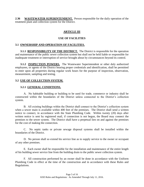**2.36 WASTEWATER SUPERINTENDENT.** Person responsible for the daily operation of the treatment plant and collection system for the District.

# **ARTICLE III**

# **USE OF FACILITIES**

# **3.1 OWNERSHIP AND OPERATION OF FACILITIES.**

**3.1.1 RESPONSIBILITY OF THE DISTRICT.** The District is responsible for the operation and maintenance of the public sewer collection system but shall not be held liable or responsible for inadequate treatment or interruption of service brought about by circumstances beyond its control.

**3.1.2 INSPECTION POWERS.** The Wastewater Superintendent or other duly authorized employees, or agents of the District bearing proper credentials and identification, shall be permitted to enter upon all properties during regular work hours for the purpose of inspection, observation, measurement, sampling and testing.

# **3.2 USE OF COLLECTION SYSTEM.**

# **3.2.1 GENERAL CONDITIONS.**

A. No habitable building or building to be used for trade, commerce or industry shall be constructed within the boundaries of the District unless connected to the District's collection system.

B. All existing buildings within the District shall connect to the District's collection system when a sewer main is available within 400 feet of the premises. The District shall send a written notice to connect, in accordance with the State Plumbing Code. Within twenty (20) days after written notice is sent by registered mail, if connection is not begun, the Board may connect the premises to the sewer system. The District shall have a perpetual lien on and against the premises for the cost of making the connection.

C. No septic tanks or private sewage disposal systems shall be installed within the boundaries of the District.

D. No person shall so extend his service line as to supply service to the owner or occupant of any other premises.

E. Each owner shall be responsible for the installation and maintenance of the entire length of his building sewer service line from the building drain to the public sewer collection system.

F. All construction performed by an owner shall be done in accordance with the Uniform Plumbing Code in effect at the time of the construction and in accordance with these Rules and Regulations.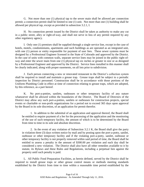G. Not more than one (1) physical tap to the sewer main shall be allowed per connection permit; a connection permit shall be limited to one (1) unit. Not more than one (1) building shall be allowed per physical tap, except as provided in subsection 3.2.1, I.

H. No connection permit issued by the District shall be taken as authority to make any cut in a public street, alley or right-of-way, and shall not serve in lieu of any permit required by any other regulatory agency.

I. Only one (1) premises shall be supplied through a single service line, except in the case of hotels, motels, condominiums, apartments and such buildings as are operated as an integrated unit, with one (1) person or entity responsible for payment of user fees. These sewer systems must be designed by a Professional Engineer licensed in the State of Colorado and approved by the District. In the case of units with common walls, separate service lines may be joined in the public right-ofway and enter the sewer main from one (1) physical tap six inches or greater in size or as designed by a Professional Engineer and approved by the District. Service lines installed in this manner shall be clearly indicated, along with proper easements, on all lots prior to subdivision.

J. Each person connecting a new or renovated restaurant to the District's collection system shall be required to install and maintain a grease trap. Grease traps shall be subject to a periodic inspection by District personnel. Construction shall be in accordance with those portions of the Uniform Plumbing Code in effect at time of connection relating to grease traps, which are adopted, by this reference, as a part hereof.

K. No port-a-potties, sanilets, outhouses or other temporary facility of any nature whatsoever shall be allowed within the boundaries of the District. The Board of Directors of the District may allow any such port-a-potties, sanilets or outhouses for construction projects, special events or charitable or non-profit organizations for a period not to exceed 365 days upon approval by the Board in its sole discretion, of an application for permit therefor.

1. In addition to the submittal of an application and approval thereof, the Board shall be entitled to require payment of a fee for the processing of the application and the monitoring of the use of such temporary facility, the amount of which is to be determined by the Board from time to time in its sole and absolute discretion.

2. In the event of any violation of Subsection 3.2.1 K, the Board shall give the party in violation three (3) days written notice by mail and by posting upon the port-a-potty, sanilet, outhouse or other temporary facility and if the violating port-a-potty, sanilet, outhouse or other temporary facility is not properly removed within said period of time, the Board shall be entitled to assess a penalty in the amount of \$300.00 per violation and each day shall be considered a new violation. The District shall also have all other remedies available to it by statute, its Bylaws and these Rules and Regulations, including a perpetual lien against the property until such penalty is paid.

L. All Public Food Preparation Facilities, as herein defined, served by the District shall be required to install grease traps or other grease control means or methods meeting standards established by the District from time to time within a reasonable time period established by the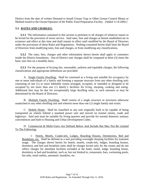District from the date of written Demand to Install Grease Trap or Other Grease Control Means or Method issued to the Owner/Operator of the Public Food Preparation Facility. *[Added 11-8-2004.]*

# **3.3. RATES AND CHARGES.**

**3.3.1** The information contained in this section is pertinent to all charges of whatever nature to be levied for the provision of sewer service. Said rates, fees and charges as herein established are in existence and effect at this time and shall remain in effect until modified by the Board of Directors under the provisions of these Rules and Regulations. Nothing contained herein shall limit the Board of Directors from modifying rates, fees and charges, or from modifying any classifications.

**3.3.2** The rates, fees, charges and other information shown herein shall apply to customers inside the District boundaries. Out-of-District user charges shall be computed at three (3) times the basic user fees on a monthly basis.

**3.3.3** For the purpose of levying fair, reasonable, uniform and equitable charges, the following classifications and appropriate definitions are provided:

A. Single Family Dwelling: Shall be construed as a living unit suitable for occupancy by one or more individuals of a family and forming a separate structure from any other dwelling unit; consisting of one (1) or more habitable rooms arranged, occupied, or intended or designed to be occupied by not more than one (1) family's facilities for living, sleeping, cooking and eating. Additional fees may be due for exceptionally large dwelling units, in such amounts as may be determined by the Board of Directors.

B. Multiple Family Dwelling: Shall consist of a single structure or structures otherwise unattached to any other dwelling unit and wherein more than one (1) single family unit exists.

C. Mobile Home: Shall be classified as any unit originally built to be capable of being transported on wheels behind a standard power unit and moved on normal streets, roads and highways. Said unit must be suitable for living quarters and provide for normal domestic sanitary conveniences and built to Housing and Urban Development Codes.

D. Commercial & Multi-Users Are Defined Below And Include But May Not Be Limited To The Following:

1. Hotels, Motels, Condo-tels, Lodges, Boarding Houses, Dormitories, Bed and Breakfasts, etc. Shall be defined as a unit providing overnight sleeping facilities for transient usage. The charges shown herein for hotels, motels, condo-tels, lodges, boarding houses, dormitory and bed and breakfast units shall be charges levied only for the rooms and do not reflect charges for attendant facilities included at the hotel, motel, lodge, boarding house, dormitory or bed and breakfast; such as, but not limited to, restaurants, bars, swimming pools, hot tubs, retail outlets, automatic laundries, etc.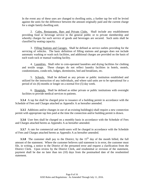In the event any of these uses are changed to dwelling units, a further tap fee will be levied against the units for the difference between the amount originally paid and the current charge for a single family dwelling unit.

2. Cafes, Restaurants, Bars and Private Clubs. Shall include any establishment providing food or beverage service to the general public or to private membership and whereby charges for such service of goods and beverages are secured. Such units shall be classified by seating capacity.

3. Filling Stations and Garages. Shall be defined as service outlets providing for the servicing of vehicles. The basic definition of filling stations and garages does not include automatic washing or wash rack facilities, and additional charges are provided on the basis of each wash rack or manual washing facility.

4. Laundries. Shall refer to coin-operated laundries and drying facilities for clothing and textile usage. These charges do not reflect laundry facilities in hotels, motels, condominiums, condo-tels, lodges, dormitories, bed and breakfasts, etc.

5. Schools. Shall be defined as any private or public institution established and utilized for the instruction of any individuals, and where said units are to be operational for a period of six (6) months or longer on a normal five (5) day week.

6. Hospitals. Shall be defined as either private or public institutions with overnight facilities to provide medical services to patients.

**3.3.4** A tap fee shall be charged prior to issuance of a building permit in accordance with the Schedule of Fees and Charges attached as Appendix A as hereafter amended.

**3.3.5** Additions and/or changes in use of an existing building(s) shall require a new connection permit with appropriate tap fees paid at the time the connection and/or building permit is drawn.

**3.3.6** User fees shall be charged on a monthly basis in accordance with the Schedule of Fees and Charges attached hereto as Appendix A as hereafter amended.

**3.3.7** A rate for commercial and multi-users will be charged in accordance with the Schedule of Fees and Charges attached hereto as Appendix A as hereafter amended.

**3.3.8** The customer shall pay to the District, by the  $15<sup>th</sup>$  day of the month billed, the full amount of the statement. Where the customer believes said statement is in error, the customer must file, in writing, a notice to the District of the presumed error and request a clarification from the District Clerk. Upon review by the District Clerk, and resubmittal or revision of the statement, payment shall be due no later than ten (10) days from the postmarked date of the resubmitted statement.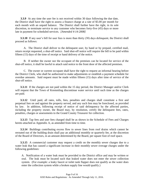**3.3.9** At any time the user fee is not received within 30 days following the due date, the District shall have the right to assess a finance charge at a rate of \$5.00 per month for each month with an unpaid balance. The District shall further have the right, in its sole discretion, to terminate service to any customer who becomes forty-five (45) days or more late in payment for scheduled services. *[Amended 4-14-2008]*

**3.3.10** If any user's bill for user fees is more than thirty (30) days delinquent, the District shall proceed as follows:

A. The District shall deliver to the delinquent user, by hand or by prepaid, certified mail, return receipt requested, a shut-off notice. Said shut-off notice will require the bill to be paid within fifteen (15) days of the time of receipt or hand delivery of the notice.

B. If neither the owner nor the occupant of the premises can be located for service of the shut-off notice, it shall be lawful to attach said notice to the front door of the affected premises.

C. The owner or current occupant shall have the right to request an informal hearing before the District Clerk, who shall be authorized to make adjustments or establish a payment schedule for overdue amounts. Said request must be made within fifteen (15) days after time of service of the shut-off notice.

**3.3.11** If the charges are not paid within the 15 day period, the District Manager and/or Clerk will request that the Town of Kremmling discontinue water service until such time as the charges are paid.

**3.3.12** Until paid, all rates, tolls, fees, penalties and charges shall constitute a first and perpetual lien on and against the property served, and any such lien may be foreclosed, as provided by law. In addition, following receipt of notice of said delinquency by the affected parties, including the property owner, the Board may, by resolution, certify the delinquent fees, rates, penalties, charges or assessments to the Grand County Treasurer for collection.

**3.3.13** Tap fees and user fees charged shall be as shown in the Schedule of Fees and Charges hereto attached as Appendix A, as amended from time to time.

**3.3.14** Buildings contributing excess flow to sewer lines from roof drains which cannot be rerouted out of the building drain shall pay an additional monthly or quarterly fee, at the discretion of the Board of Directors, in an amount determined by the Board, per square foot of roof space.

**3.3.15** A commercial customer may request a credit on the monthly sewer charges due to a water leak that has caused a significant increase in their monthly sewer overage charges under the following guidelines:

A. Notification of a water leak must be provided to the District office and may be written or oral. The leak must be located such that leaked water does not enter the sewer collection system. (For example: a leaky faucet or toilet tank flapper does not qualify as the water does enter the collection system while a broken supply line would qualify.)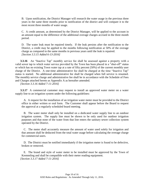B. Upon notification, the District Manager will research the water usage in the previous three years in the same three months prior to notification of the district and will compare it to the most recent three months of water usage.

C. A credit amount, as determined by the District Manager, will be applied to the account in an amount equal to the difference of the additional overage charges accrued in the three month period.

D. The water leak must be repaired timely. If the leak persists after the notification to the District, a credit may be applied to the months following notification at 50% of the overage charge as compared to the same months in previous years until the leak is repaired. *[Section 3.3.15 Added 6-13-2016]*

**3.3.16** An "Inactive Tap" monthly service fee shall be assessed against a property with a valid sewer tap to which water service provided by the Town has been placed in a "shut-off" status or which has no existing Town water tap at a rate of fifty percent (50%) of the current monthly user charge of the District. A one-time administrative fee shall be charged at the time "Inactive Tap" status is started. No additional administrative fee shall be charged when full service is resumed. The monthly service charge and administrative fee shall be in accordance with the Schedule of Fees and Charges attached hereto as Appendix A as hereafter amended.

*[Section 3.3.16 Added 7-11-2016]*

**3.3.17** A commercial customer may request to install an approved water meter on a water supply line to an irrigation system under the following guidelines:

A. A request for the installation of an irrigation water meter must be provided to the District office in either written or oral form. The Customer shall appear before the Board to request the approval at a regularly scheduled board meeting.

B. The water meter shall only be installed on a dedicated water supply line to an outdoor irrigation system. The supply line must be shown to be only used for outdoor irrigation purposes and that none of the water from that line enters the sanitary sewer collection system operated by the District.

C. The meter shall accurately measure the amount of water used solely for irrigation and that amount shall be deducted from the total water usage before calculating the overage charge for commercial users.

D. The District must be notified immediately if the irrigation meter is found to be defective, broken or removed.

E. The brand and style of water meter to be installed must be approved by the Town of Kremmling and shall be compatible with their meter reading equipment. *[Section 3.3.17 Added 7-11-2016]*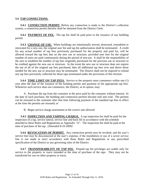# **3.4 TAP CONNECTIONS.**

**3.4.1 CONNECTION PERMIT.** Before any connection is made to the District's collection system, a connection permit therefor shall be obtained from the District Clerk.

**3.4.2 PAYMENT OF FEE.** The tap fee shall be paid prior to the issuance of any building permit.

**3.4.3 CHANGE OF USE.** When buildings are intentionally moved, destroyed, remodeled or renovated for a new use, the original user fee and tap fee authorization shall be terminated. A credit for any actual number of tap fees previously purchased for the property and paid for, will be allowed toward the tap fees due on the new use or structure, provided user fees for the original number of users are paid continuously during the period of non-use. It shall be the responsibility of the user to establish the number of tap fees originally purchased for the previous use or structure to be credited against the new use or structure. In the event the new use or structure does not require the use of all of the original tap fees purchased, then all additional tap fees over and above those needed for the new use or structure may be terminated. The District shall not be required to refund any tap fees previously collected for those taps terminated under the provisions of this Section.

**3.4.4 TIME LIMIT ON TAP FEES.** Service to the property must commence within one (1) year after the date of the issuance of the building permit and payment of the appropriate tap fees. Whenever such service does not commence, the District, at its option, may:

A. Purchase the tap from the customer at the price paid by the customer without interest. At the date of such purchase, the building and connection permits become null and void. The permits can be reissued to the customer after that time following payment of the standard tap fees in effect at the time the permits are reissued; or

B. Begin service charge assessment at the correct rate allowed.

**3.4.5 INSPECTION AND TAPPING CHARGE.** A tap inspection fee shall be paid for the inspection of a tap, service lateral, service line and back fill in accordance with the schedule attached to these Rules and Regulations as Appendix "A". The inspection fee shall be paid at the time of purchase of the tap. *[Amended 8-10-2009]*

**3.4.6 REVOCATION OF PERMIT.** Any connection permit may be revoked*,* and the user's service line may be disconnected at the user's expense, if the installation or use of a sewer service line is not made in strict accordance with these Rules and Regulations or any prescribed specification of the District or any governing rules of the District.

**3.4.7 TRANSFERABILITY OF TAP FEE.** Prepaid tap fee privileges are usable only for service to the property or tracts intended at the time of purchase of the taps. They may not be transferred for use on other property or tracts.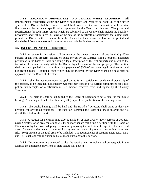**3.4.8 BACKFLOW PREVENTERS AND TRACER WIRES REQUIRED.** All improvements constructed within the District boundaries and required to hook up to the sewer system of the District shall be required to install backflow preventers and tracer wires on the service line meeting the technical specifications approved by the Board in advance. The plans and specifications for such improvement which are submitted to the County shall include the backflow preventers, and within thirty (30) days of the date of the certificate of occupancy, the builder shall provide the District with verification from the County that the construction has been inspected and that the backflow preventers and tracer wires were included in the construction.

# **3.5 INCLUSION INTO THE DISTRICT.**

**3.5.1** A request for inclusion shall be made by the owner or owners of one hundred (100%) percent of any real property capable of being served by the District, filing a properly notarized petition with the District Clerk, including a legal description of the real property and assent to the inclusion of the real property within the District by all owners of the real property. The petition shall be accompanied by a nonrefundable payment of \$300.00 to cover legal, engineering and publication costs. Additional costs which may be incurred by the District shall be paid prior to approval from the Board of Directors.

**3.5.2** It shall be incumbent upon the applicant to furnish satisfactory evidence of ownership of the property to be included. Satisfactory evidence may consist of a current commitment for a title policy, tax receipts, or certification in lieu thereof, received from and signed by the County Treasurer.

**3.5.3** The petition shall be submitted to the Board of Directors to set a date for the public hearing. A hearing will be held within thirty (30) days of the publication of the hearing notice.

**3.5.4** The public hearing shall be held and the Board of Directors shall grant or deny the petition with or without conditions. If the petition is granted, the Board shall make an order and file it with the Clerk of the Court.

**3.5.5** A request for inclusion may also be made by at least twenty (20%) percent or 200 taxpaying electors of an area containing 25,000 or more square feet filing a petition with the Board of Directors, or by the Board adopting a resolution proposing the inclusion of a specifically described area. Consent of the owner is required for any tract or parcel of property constituting more than fifty (50%) percent of the total area to be included. The requirements of sections 3.5.1, 3.5.2, 3.5.3 and 3.5.4 shall apply to inclusion requests made pursuant to this section.

**3.5.6** If state statutes are amended to alter the requirements to include real property within the District, the applicable provisions of state statute will govern.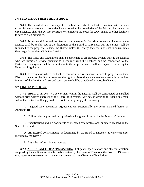#### **3.6 SERVICE OUTSIDE THE DISTRICT.**

**3.6.1** The Board of Directors may, if in the best interests of the District, contract with persons to furnish sewer service to properties located outside the boundaries of the District; but, under no circumstances shall the District construct or reimburse the costs for sewer mains or other facilities to service such properties.

**3.6.2** Terms, conditions and user fees or other charges for furnishing sewer service outside the District shall be established at the discretion of the Board of Directors; but, no service shall be furnished to the properties outside the District unless the charge therefor is at least three (3) times the charge for service within the District.

**3.6.3** The Rules and Regulations shall be applicable to all property owners outside the District who are furnished service pursuant to a contract with the District, and no connection to the District's sewer system shall be permitted until the property owner shall have agreed to abide by the Rules and Regulations.

**3.6.4** In every case where the District contracts to furnish sewer service to properties outside District boundaries, the District reserves the right to discontinue such service when it is in the best interests of the District to do so, and such service shall be considered a revocable license.

## **3.7 LINE EXTENSIONS.**

**3.7.1 APPLICATION.** No sewer main within the District shall be constructed or installed without prior written approval of the Board of Directors. Any person desiring to extend any main within the District shall apply to the District Clerk by supply the following:

A. Signed Line Extension Agreement (in substantially the form attached hereto as Appendix B).

B. Utilities plan as prepared by a professional engineer licensed by the State of Colorado.

C. Specifications and bid documents as prepared by a professional engineer licensed by the State of Colorado.

D. An assessed dollar amount, as determined by the Board of Directors, to cover expenses incurred by the District.

E. Any other information as requested.

**3.7.2 ACCEPTANCE OF APPLICATION.** If all plans, specifications and other information supplied by the applicant receive favorable review by the Board of Directors, the Board of Directors may agree to allow extension of the main pursuant to these Rules and Regulations.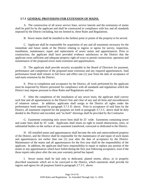# **3.7.3 GENERAL PROVISIONS FOR EXTENSION OF MAINS.**

A. The construction of all sewer service lines, service laterals and the extensions of mains shall be paid for by the applicant and shall be constructed in compliance with law and all standards imposed by the District including, but not limited to, these Rules and Regulations.

B. Sewer mains shall be installed to the farthest point or points of the property to be served.

C. Applicant shall be responsible for acquisition of any and all easements necessary for the immediate and future needs of the District relating to ingress or egress for survey, inspection, installation, maintenance, repair and replacement of sewer mains and appurtenances. Prior to construction, the applicant shall have provided evidence satisfactory to the District that the applicant owns sufficient and adequate property right-of-ways to permit construction, operation and maintenance of the proposed sewer main extension and appurtenances.

D. The applicant shall provide security acceptable to the Board of Directors for payment, performance and completion of the proposed main extension and any required appurtenances. Said performance bond shall remain in full force and effect one (1) year from the date of acceptance of said main extension by the District.

E. Prior to completion and acceptance by the District, all work performed by the applicant must be inspected by District personnel for compliance with all standards and regulations which the District may impose pursuant to these Rules and Regulations and law.

F. After the completion of the installation of any sewer main, the applicant shall convey such line and all appurtenances to the District free and clear of any and all liens and encumbrances of whatever nature. In addition, applicants shall assign to the District all rights under the performance bond required by paragraph 3.7.3 D. above. Prior to acceptance of said lines by the District, all easements required for the purposes set forth in paragraph 3.7.3 C. above shall be duly deeded to the District and recorded, and "as-built" drawings shall be provided by the Contractor.

G. Easements containing only sewer lines shall be 25´ wide. Easements containing sewer and water lines shall be 35´ wide. Applicants shall retain no right to install obstructions, trees, or substantial bushes on the surface of any easement transferred, conveyed or dedicated to the District.

H. All installed mains and appurtenances shall become the sole and unencumbered property of the District, and the District shall be responsible for the maintenance of and repair of such mains and appurtenances not earlier than one (1) year after the date of acceptance by the District. Maintenance of the mains and all appurtenances for the first year shall be the responsibility of the applicant. In addition, the applicant shall have responsibility to repair or replace any portion of the mains or any appurtenances which have failed during the first year following acceptance, even if the those repairs take place after the one-year warranty period has lapsed.

I. Sewer mains shall be laid only in dedicated, platted streets, alleys, or in properly described easements which are to be conveyed to the District, which easements shall provide for ingress and egress for all purposes listed in paragraph 3.7.3 C. above.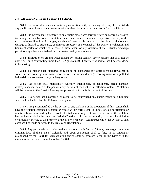#### **3.8 TAMPERING WITH SEWER SYSTEMS.**

**3.8.1** No person shall uncover, make any connection with, or opening into, use, alter or disturb any public sewer lines or appurtenances without first obtaining a written permit from the District.

**3.8.2** No person shall discharge to any public sewer any harmful water or hazardous wastes, including, but not by way of limitation, materials that are flammable, explosive, caustic, acidic, toxic, whether liquid, solid or gas, capable of causing obstructions of the flow in the sewers; damage or hazard to structures, equipment processes or personnel of the District's collection and treatment works, or which would cause an upset event or any violation of the District's discharge permit or any other state, federal or local water quality requirement.

**3.8.3** Infiltration of ground water caused by leaking sanitary sewer service line shall not be allowed. Lines contributing more than 0.07 gal/hour/100 linear feet of service shall be considered to be leaking.

**3.8.4** No person shall discharge or cause to be discharged any water bleeding flows, storm water, surface water, ground water, roof run-off, subsurface drainage, cooling water or unpolluted industrial process waters to any sanitary sewer.

**3.8.5** No person shall maliciously, willfully, intentionally or negligently break, damage, destroy, uncover, deface or tamper with any portion of the District's collection system. Violations will be referred to the District Attorney for prosecution to the fullest extent of the law.

**3.8.6** No person shall construct or cause to be constructed any appurtenance to a building sewer below the level of the 100-year flood plain.

**3.8.7** Any person notified by the District of any violation of the provisions of this section shall have the violation corrected, repaired or ceased within forty-eight (48) hours of said notification, or in a time frame specified by the District. If satisfactory progress toward correction of the violation has not been made by the time specified, the District shall have the authority to correct the violation or disconnect service to the property at the owner's expense. Reimbursement to the District of said costs shall be made pursuant to the Rules and Regulations.

**3.8.8** Any person who shall violate the provisions of this Section 3.8 may be charged under the criminal laws of the State of Colorado and, upon conviction, shall be fined in an amount as established by the Court for such violation and/or shall be assessed a fee by the District in the amount of actual costs, but not less than \$500.00.